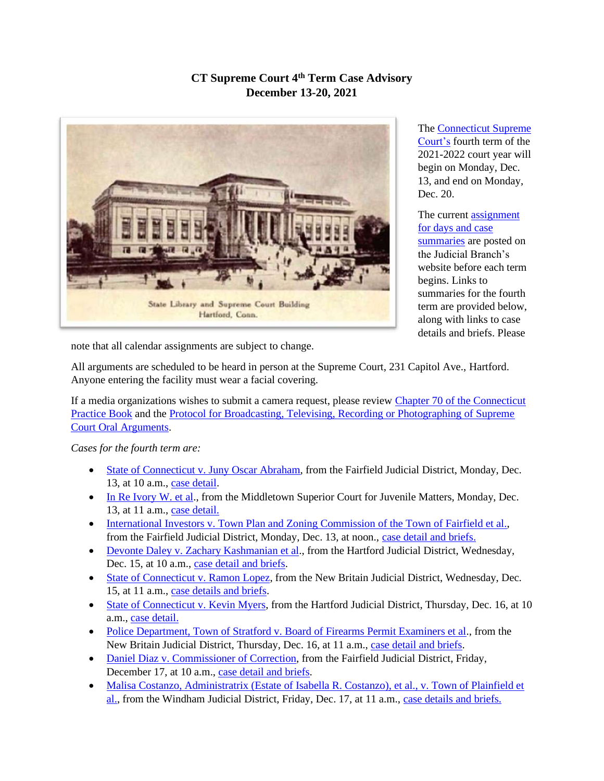## **CT Supreme Court 4th Term Case Advisory December 13-20, 2021**



The [Connecticut Supreme](https://jud.ct.gov/supremecourt/)  [Court's](https://jud.ct.gov/supremecourt/) fourth term of the 2021-2022 court year will begin on Monday, Dec. 13, and end on Monday, Dec. 20.

The current assignment [for days and case](https://www.jud.ct.gov/external/supapp/sup_assign.htm)  [summaries](https://www.jud.ct.gov/external/supapp/sup_assign.htm) are posted on the Judicial Branch's website before each term begins. Links to summaries for the fourth term are provided below, along with links to case details and briefs. Please

note that all calendar assignments are subject to change.

All arguments are scheduled to be heard in person at the Supreme Court, 231 Capitol Ave., Hartford. Anyone entering the facility must wear a facial covering.

If a media organizations wishes to submit a camera request, please review [Chapter 70 of the Connecticut](https://www.jud.ct.gov/pb.htm)  [Practice Book](https://www.jud.ct.gov/pb.htm) and the [Protocol for Broadcasting, Televising, Recording or Photographing of Supreme](https://www.jud.ct.gov/external/supapp/protocol_sup_oral_argu.htm)  [Court Oral Arguments.](https://www.jud.ct.gov/external/supapp/protocol_sup_oral_argu.htm)

*Cases for the fourth term are:*

- [State of Connecticut v. Juny Oscar Abraham,](https://jud.ct.gov/external/supapp/summaries/docket/20314.htm) from the Fairfield Judicial District, Monday, Dec. 13, at 10 a.m., [case detail.](http://appellateinquiry.jud.ct.gov/CaseDetail.aspx?CRN=61436&Type=AppealNo)
- [In Re Ivory W. et al.](https://jud.ct.gov/external/supapp/summaries/docket/20624.htm), from the Middletown Superior Court for Juvenile Matters, Monday, Dec. 13, at 11 a.m., [case detail.](http://appellateinquiry.jud.ct.gov/CaseDetail.aspx?CRN=75914&Type=AppealNo)
- [International Investors v. Town Plan and Zoning Commission of the Town of Fairfield et al.,](https://jud.ct.gov/external/supapp/summaries/docket/20579.htm) from the Fairfield Judicial District, Monday, Dec. 13, at noon., [case detail and briefs.](http://appellateinquiry.jud.ct.gov/CaseDetail.aspx?CRN=75034&Type=AppealNo)
- [Devonte Daley v. Zachary Kashmanian et al.](https://jud.ct.gov/external/supapp/summaries/docket/20498.htm), from the Hartford Judicial District, Wednesday, Dec. 15, at 10 a.m., [case detail and briefs.](http://appellateinquiry.jud.ct.gov/CaseDetail.aspx?CRN=74162&Type=AppealNo)
- [State of Connecticut v. Ramon Lopez,](https://jud.ct.gov/external/supapp/summaries/docket/20601.htm) from the New Britain Judicial District, Wednesday, Dec. 15, at 11 a.m., [case details and briefs.](http://appellateinquiry.jud.ct.gov/CaseDetail.aspx?CRN=75455&Type=AppealNo)
- [State of Connecticut v. Kevin Myers,](https://jud.ct.gov/external/supapp/summaries/docket/20563.htm) from the Hartford Judicial District, Thursday, Dec. 16, at 10 a.m., [case detail.](http://appellateinquiry.jud.ct.gov/CaseDetail.aspx?CRN=74831&Type=AppealNo)
- [Police Department, Town of Stratford v. Board of Firearms Permit Examiners et al.](https://jud.ct.gov/external/supapp/summaries/docket/20580.htm), from the New Britain Judicial District, Thursday, Dec. 16, at 11 a.m., [case detail and briefs.](http://appellateinquiry.jud.ct.gov/CaseDetail.aspx?CRN=75049&Type=AppealNo)
- [Daniel Diaz v. Commissioner of Correction,](https://jud.ct.gov/external/supapp/summaries/docket/20536.htm) from the Fairfield Judicial District, Friday, December 17, at 10 a.m., [case detail and briefs.](http://appellateinquiry.jud.ct.gov/CaseDetail.aspx?CRN=74424&Type=AppealNo)
- Malisa Costanzo, Administratrix (Estate of Isabella R. Costanzo), et al., v. Town of Plainfield et [al.,](https://jud.ct.gov/external/supapp/summaries/docket/20537.htm) from the Windham Judicial District, Friday, Dec. 17, at 11 a.m., [case details and briefs.](http://appellateinquiry.jud.ct.gov/CaseDetail.aspx?CRN=74428&Type=AppealNo)